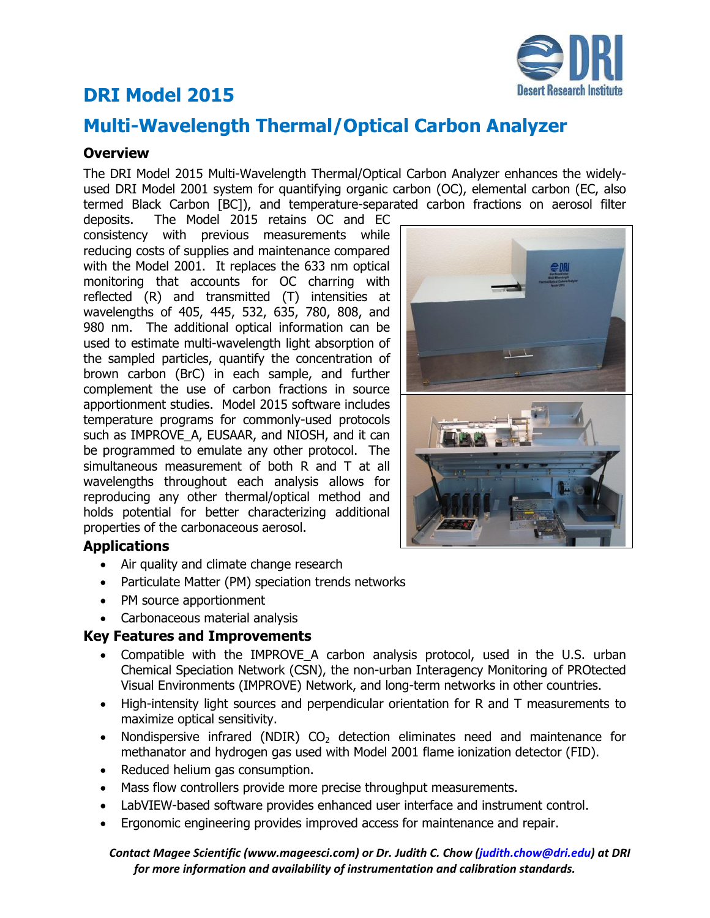# **DRI Model 2015**

# **Multi-Wavelength Thermal/Optical Carbon Analyzer**

## **Overview**

The DRI Model 2015 Multi-Wavelength Thermal/Optical Carbon Analyzer enhances the widelyused DRI Model 2001 system for quantifying organic carbon (OC), elemental carbon (EC, also termed Black Carbon [BC]), and temperature-separated carbon fractions on aerosol filter

deposits. The Model 2015 retains OC and EC consistency with previous measurements while reducing costs of supplies and maintenance compared with the Model 2001. It replaces the 633 nm optical monitoring that accounts for OC charring with reflected (R) and transmitted (T) intensities at wavelengths of 405, 445, 532, 635, 780, 808, and 980 nm. The additional optical information can be used to estimate multi-wavelength light absorption of the sampled particles, quantify the concentration of brown carbon (BrC) in each sample, and further complement the use of carbon fractions in source apportionment studies. Model 2015 software includes temperature programs for commonly-used protocols such as IMPROVE A, EUSAAR, and NIOSH, and it can be programmed to emulate any other protocol. The simultaneous measurement of both R and T at all wavelengths throughout each analysis allows for reproducing any other thermal/optical method and holds potential for better characterizing additional properties of the carbonaceous aerosol.

# **Applications**

- Air quality and climate change research
- Particulate Matter (PM) speciation trends networks
- PM source apportionment
- Carbonaceous material analysis

### **Key Features and Improvements**

- Compatible with the IMPROVE\_A carbon analysis protocol, used in the U.S. urban Chemical Speciation Network (CSN), the non-urban Interagency Monitoring of PROtected Visual Environments (IMPROVE) Network, and long-term networks in other countries.
- High-intensity light sources and perpendicular orientation for R and T measurements to maximize optical sensitivity.
- Nondispersive infrared (NDIR)  $CO<sub>2</sub>$  detection eliminates need and maintenance for methanator and hydrogen gas used with Model 2001 flame ionization detector (FID).
- Reduced helium gas consumption.
- Mass flow controllers provide more precise throughput measurements.
- LabVIEW-based software provides enhanced user interface and instrument control.
- Ergonomic engineering provides improved access for maintenance and repair.

#### *Contact Magee Scientific (www.mageesci.com) or Dr. Judith C. Chow (judith.chow@dri.edu) at DRI for more information and availability of instrumentation and calibration standards.*